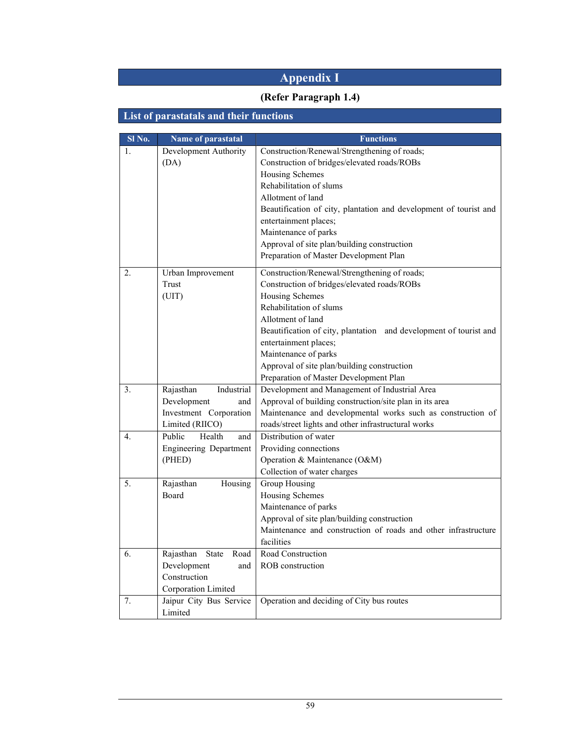# Appendix I

### (Refer Paragraph 1.4)

# List of parastatals and their functions

| Sl No. | Name of parastatal            | <b>Functions</b>                                                                                              |
|--------|-------------------------------|---------------------------------------------------------------------------------------------------------------|
| 1.     | Development Authority         | Construction/Renewal/Strengthening of roads;                                                                  |
|        | (DA)                          | Construction of bridges/elevated roads/ROBs                                                                   |
|        |                               | Housing Schemes                                                                                               |
|        |                               | Rehabilitation of slums                                                                                       |
|        |                               | Allotment of land                                                                                             |
|        |                               | Beautification of city, plantation and development of tourist and                                             |
|        |                               | entertainment places;                                                                                         |
|        |                               | Maintenance of parks                                                                                          |
|        |                               | Approval of site plan/building construction                                                                   |
|        |                               | Preparation of Master Development Plan                                                                        |
| 2.     | Urban Improvement             | Construction/Renewal/Strengthening of roads;                                                                  |
|        | Trust                         | Construction of bridges/elevated roads/ROBs                                                                   |
|        | (UIT)                         | Housing Schemes                                                                                               |
|        |                               | Rehabilitation of slums                                                                                       |
|        |                               | Allotment of land                                                                                             |
|        |                               | Beautification of city, plantation and development of tourist and                                             |
|        |                               | entertainment places;                                                                                         |
|        |                               | Maintenance of parks                                                                                          |
|        |                               | Approval of site plan/building construction                                                                   |
|        |                               | Preparation of Master Development Plan                                                                        |
| 3.     | Rajasthan<br>Industrial       | Development and Management of Industrial Area                                                                 |
|        | Development<br>and            | Approval of building construction/site plan in its area                                                       |
|        | Investment Corporation        | Maintenance and developmental works such as construction of                                                   |
|        | Limited (RIICO)               | roads/street lights and other infrastructural works                                                           |
| 4.     | Health<br>Public<br>and       | Distribution of water                                                                                         |
|        | <b>Engineering Department</b> | Providing connections                                                                                         |
|        | (PHED)                        | Operation & Maintenance (O&M)                                                                                 |
|        |                               | Collection of water charges                                                                                   |
| 5.     | Rajasthan<br>Housing          | Group Housing                                                                                                 |
|        | Board                         | Housing Schemes                                                                                               |
|        |                               | Maintenance of parks                                                                                          |
|        |                               | Approval of site plan/building construction<br>Maintenance and construction of roads and other infrastructure |
|        |                               | facilities                                                                                                    |
| 6.     | Rajasthan<br>State<br>Road    | Road Construction                                                                                             |
|        | Development<br>and            | ROB construction                                                                                              |
|        | Construction                  |                                                                                                               |
|        | Corporation Limited           |                                                                                                               |
| 7.     | Jaipur City Bus Service       | Operation and deciding of City bus routes                                                                     |
|        | Limited                       |                                                                                                               |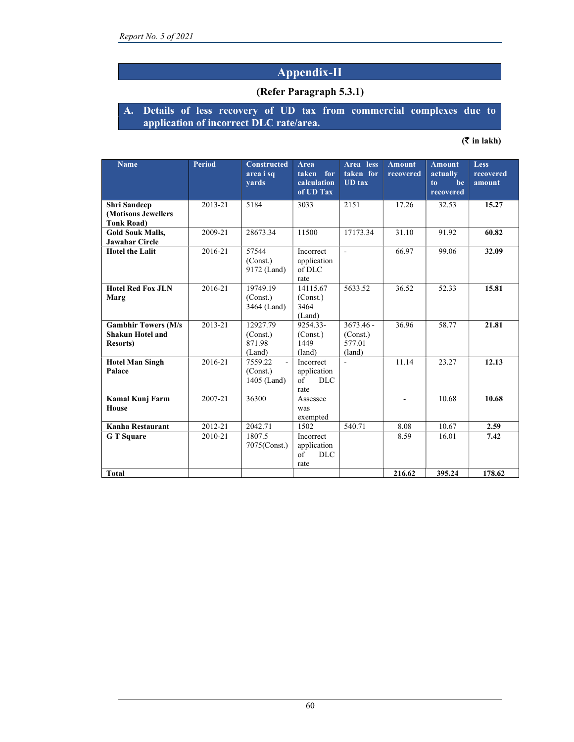### Appendix-II

#### (Refer Paragraph 5.3.1)

#### A. Details of less recovery of UD tax from commercial complexes due to application of incorrect DLC rate/area.

#### $($ ₹ in lakh)

| <b>Name</b>                                                                | <b>Period</b> | <b>Constructed</b><br>area i sq<br>vards           | <b>Area</b><br>taken for<br>calculation<br>of UD Tax  | Area less<br>taken for<br><b>UD</b> tax     | <b>Amount</b><br>recovered | <b>Amount</b><br>actually<br>be<br>to<br>recovered | <b>Less</b><br>recovered<br>amount |
|----------------------------------------------------------------------------|---------------|----------------------------------------------------|-------------------------------------------------------|---------------------------------------------|----------------------------|----------------------------------------------------|------------------------------------|
| <b>Shri</b> Sandeep<br>(Motisons Jewellers<br><b>Tonk Road</b> )           | 2013-21       | 5184                                               | 3033                                                  | 2151                                        | 17.26                      | 32.53                                              | 15.27                              |
| <b>Gold Souk Malls,</b><br><b>Jawahar Circle</b>                           | 2009-21       | 28673.34                                           | 11500                                                 | 17173.34                                    | 31.10                      | 91.92                                              | 60.82                              |
| <b>Hotel the Lalit</b>                                                     | 2016-21       | 57544<br>(Const.)<br>9172 (Land)                   | Incorrect<br>application<br>of DLC<br>rate            | $\blacksquare$                              | 66.97                      | 99.06                                              | 32.09                              |
| <b>Hotel Red Fox JLN</b><br>Marg                                           | 2016-21       | 19749.19<br>(Const.)<br>3464 (Land)                | 14115.67<br>(Const.)<br>3464<br>(Land)                | 5633.52                                     | 36.52                      | 52.33                                              | 15.81                              |
| <b>Gambhir Towers (M/s)</b><br><b>Shakun Hotel and</b><br><b>Resorts</b> ) | 2013-21       | 12927.79<br>(Const.)<br>871.98<br>(Land)           | 9254.33-<br>(Const.)<br>1449<br>(land)                | $3673.46 -$<br>(Const.)<br>577.01<br>(land) | 36.96                      | 58.77                                              | 21.81                              |
| <b>Hotel Man Singh</b><br>Palace                                           | 2016-21       | 7559.22<br>$\mathbf{r}$<br>(Const.)<br>1405 (Land) | Incorrect<br>application<br>$\sigma$ f<br>DLC<br>rate | $\blacksquare$                              | 11.14                      | 23.27                                              | 12.13                              |
| Kamal Kunj Farm<br><b>House</b>                                            | 2007-21       | 36300                                              | Assessee<br>was<br>exempted                           |                                             | $\overline{\phantom{a}}$   | 10.68                                              | 10.68                              |
| Kanha Restaurant                                                           | 2012-21       | 2042.71                                            | 1502                                                  | 540.71                                      | 8.08                       | 10.67                                              | 2.59                               |
| <b>G</b> T Square                                                          | 2010-21       | 1807.5<br>7075(Const.)                             | Incorrect<br>application<br>of<br><b>DLC</b><br>rate  |                                             | 8.59                       | 16.01                                              | 7.42                               |
| <b>Total</b>                                                               |               |                                                    |                                                       |                                             | 216.62                     | 395.24                                             | 178.62                             |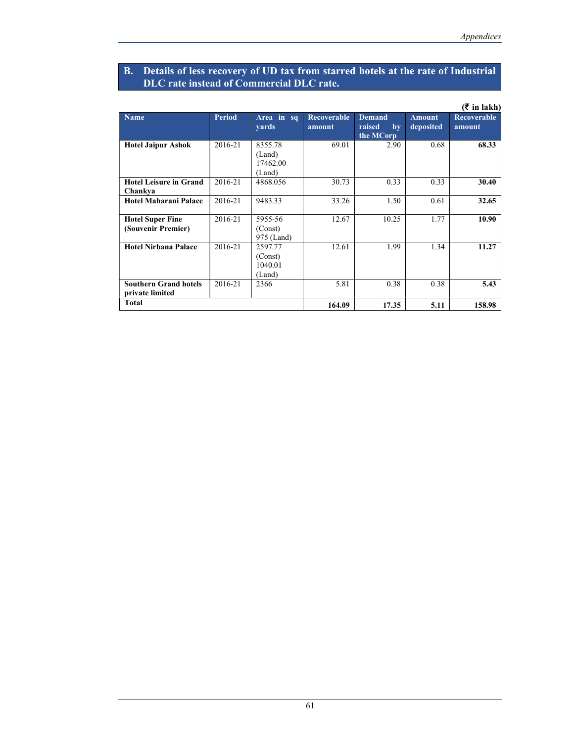#### B. Details of less recovery of UD tax from starred hotels at the rate of Industrial DLC rate instead of Commercial DLC rate.

|                                                 |               |                                         |                              |                                            |                            | $(3 \nvert \mathbf{r}$ in lakh) |
|-------------------------------------------------|---------------|-----------------------------------------|------------------------------|--------------------------------------------|----------------------------|---------------------------------|
| <b>Name</b>                                     | <b>Period</b> | Area in sq<br>yards                     | <b>Recoverable</b><br>amount | <b>Demand</b><br>raised<br>by<br>the MCorp | <b>Amount</b><br>deposited | Recoverable<br>amount           |
| <b>Hotel Jaipur Ashok</b>                       | 2016-21       | 8355.78<br>(Land)<br>17462.00<br>(Land) | 69.01                        | 2.90                                       | 0.68                       | 68.33                           |
| <b>Hotel Leisure in Grand</b><br>Chankya        | 2016-21       | 4868.056                                | 30.73                        | 0.33                                       | 0.33                       | 30.40                           |
| Hotel Maharani Palace                           | 2016-21       | 9483.33                                 | 33.26                        | 1.50                                       | 0.61                       | 32.65                           |
| <b>Hotel Super Fine</b><br>(Souvenir Premier)   | 2016-21       | 5955-56<br>(Const)<br>975 (Land)        | 12.67                        | 10.25                                      | 1.77                       | 10.90                           |
| Hotel Nirbana Palace                            | 2016-21       | 2597.77<br>(Const)<br>1040.01<br>(Land) | 12.61                        | 1.99                                       | 1.34                       | 11.27                           |
| <b>Southern Grand hotels</b><br>private limited | 2016-21       | 2366                                    | 5.81                         | 0.38                                       | 0.38                       | 5.43                            |
| Total                                           |               |                                         | 164.09                       | 17.35                                      | 5.11                       | 158.98                          |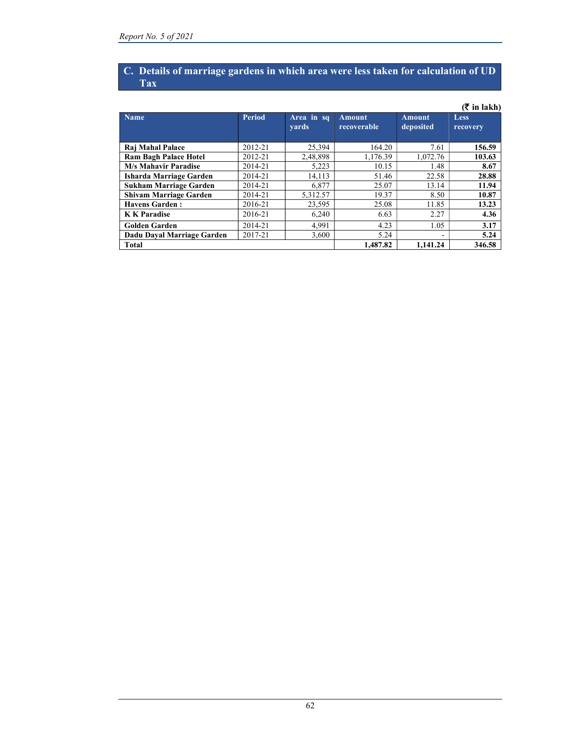#### C. Details of marriage gardens in which area were less taken for calculation of UD Tax

|                               |               |                            |                              |                            | $(3\overline{5})$ in lakh) |
|-------------------------------|---------------|----------------------------|------------------------------|----------------------------|----------------------------|
| <b>Name</b>                   | <b>Period</b> | Area in sq<br><b>vards</b> | <b>Amount</b><br>recoverable | <b>Amount</b><br>deposited | Less<br>recovery           |
| Raj Mahal Palace              | 2012-21       | 25.394                     | 164.20                       | 7.61                       | 156.59                     |
| <b>Ram Bagh Palace Hotel</b>  | 2012-21       | 2,48,898                   | 1,176.39                     | 1.072.76                   | 103.63                     |
| <b>M/s Mahavir Paradise</b>   | 2014-21       | 5,223                      | 10.15                        | 1.48                       | 8.67                       |
| Isharda Marriage Garden       | 2014-21       | 14,113                     | 51.46                        | 22.58                      | 28.88                      |
| <b>Sukham Marriage Garden</b> | 2014-21       | 6,877                      | 25.07                        | 13.14                      | 11.94                      |
| <b>Shivam Marriage Garden</b> | 2014-21       | 5,312.57                   | 19.37                        | 8.50                       | 10.87                      |
| <b>Havens Garden:</b>         | 2016-21       | 23.595                     | 25.08                        | 11.85                      | 13.23                      |
| <b>K K</b> Paradise           | 2016-21       | 6.240                      | 6.63                         | 2.27                       | 4.36                       |
| <b>Golden Garden</b>          | 2014-21       | 4.991                      | 4.23                         | 1.05                       | 3.17                       |
| Dadu Daval Marriage Garden    | 2017-21       | 3.600                      | 5.24                         |                            | 5.24                       |
| <b>Total</b>                  |               |                            | 1.487.82                     | 1.141.24                   | 346.58                     |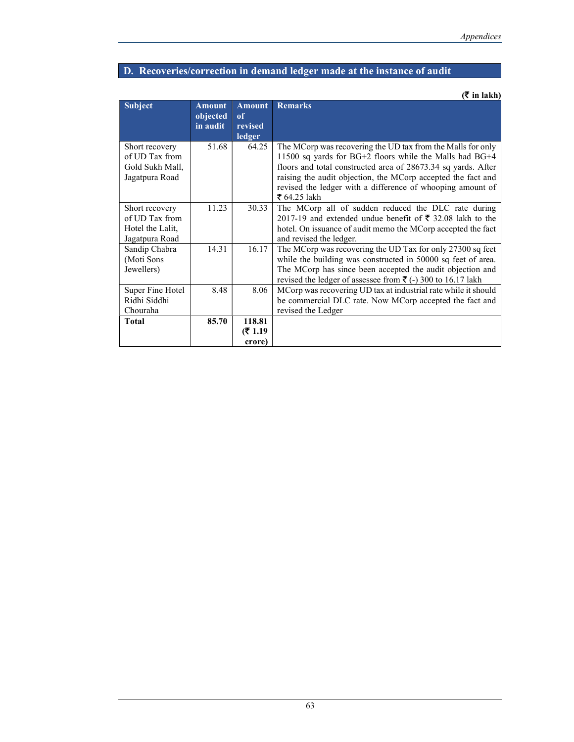# D. Recoveries/correction in demand ledger made at the instance of audit

 $($ ₹ in lakh)

| <b>Subject</b>                                                         | <b>Amount</b><br>objected<br>in audit | <b>Amount</b><br>of<br>revised<br>ledger | <b>Remarks</b>                                                                                                                                                                                                                                                                                                                        |
|------------------------------------------------------------------------|---------------------------------------|------------------------------------------|---------------------------------------------------------------------------------------------------------------------------------------------------------------------------------------------------------------------------------------------------------------------------------------------------------------------------------------|
| Short recovery<br>of UD Tax from<br>Gold Sukh Mall,<br>Jagatpura Road  | 51.68                                 | 64.25                                    | The MCorp was recovering the UD tax from the Malls for only<br>11500 sq yards for BG+2 floors while the Malls had BG+4<br>floors and total constructed area of 28673.34 sq yards. After<br>raising the audit objection, the MCorp accepted the fact and<br>revised the ledger with a difference of whooping amount of<br>₹ 64.25 lakh |
| Short recovery<br>of UD Tax from<br>Hotel the Lalit,<br>Jagatpura Road | 11.23                                 | 30.33                                    | The MCorp all of sudden reduced the DLC rate during<br>2017-19 and extended undue benefit of $\bar{\tau}$ 32.08 lakh to the<br>hotel. On issuance of audit memo the MCorp accepted the fact<br>and revised the ledger.                                                                                                                |
| Sandip Chabra<br>(Moti Sons<br>Jewellers)                              | 14.31                                 | 16.17                                    | The MCorp was recovering the UD Tax for only 27300 sq feet<br>while the building was constructed in 50000 sq feet of area.<br>The MCorp has since been accepted the audit objection and<br>revised the ledger of assessee from ₹ (-) 300 to 16.17 lakh                                                                                |
| Super Fine Hotel<br>Ridhi Siddhi<br>Chouraha                           | 8.48                                  | 8.06                                     | MCorp was recovering UD tax at industrial rate while it should<br>be commercial DLC rate. Now MCorp accepted the fact and<br>revised the Ledger                                                                                                                                                                                       |
| Total                                                                  | 85.70                                 | 118.81<br>(₹ 1.19<br>crore)              |                                                                                                                                                                                                                                                                                                                                       |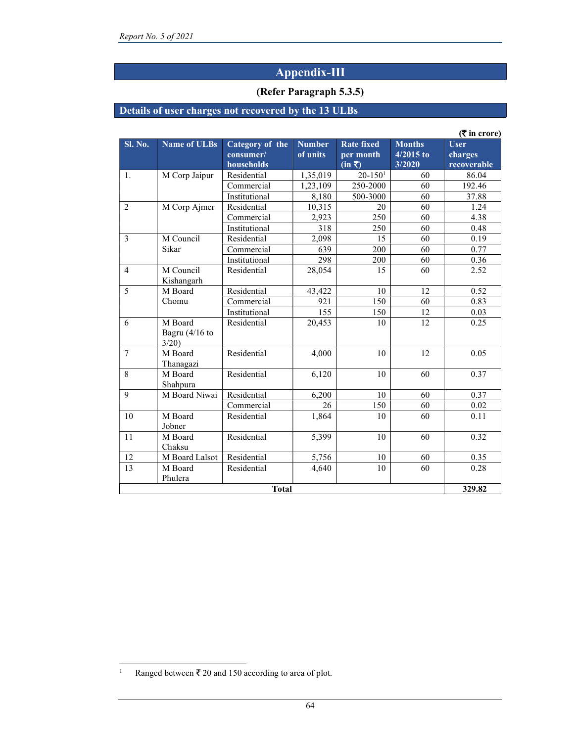# Appendix-III

#### (Refer Paragraph 5.3.5)

### Details of user charges not recovered by the 13 ULBs

|                |                                      |                                            |                           |                                                                          |                                        | $($ ₹ in crore)                       |
|----------------|--------------------------------------|--------------------------------------------|---------------------------|--------------------------------------------------------------------------|----------------------------------------|---------------------------------------|
| <b>Sl. No.</b> | Name of ULBs                         | Category of the<br>consumer/<br>households | <b>Number</b><br>of units | <b>Rate fixed</b><br>per month<br>$\overline{(\text{in } \overline{z})}$ | <b>Months</b><br>$4/2015$ to<br>3/2020 | <b>User</b><br>charges<br>recoverable |
| 1.             | M Corp Jaipur                        | Residential                                | 1,35,019                  | $20 - 1501$                                                              | 60                                     | 86.04                                 |
|                |                                      | Commercial                                 | 1,23,109                  | 250-2000                                                                 | 60                                     | 192.46                                |
|                |                                      | Institutional                              | 8,180                     | 500-3000                                                                 | 60                                     | 37.88                                 |
| $\overline{2}$ | M Corp Ajmer                         | Residential                                | 10,315                    | 20                                                                       | 60                                     | 1.24                                  |
|                |                                      | Commercial                                 | 2.923                     | 250                                                                      | 60                                     | 4.38                                  |
|                |                                      | Institutional                              | 318                       | 250                                                                      | 60                                     | 0.48                                  |
| 3              | M Council                            | Residential                                | 2,098                     | 15                                                                       | 60                                     | 0.19                                  |
|                | Sikar                                | Commercial                                 | 639                       | 200                                                                      | 60                                     | 0.77                                  |
|                |                                      | Institutional                              | 298                       | 200                                                                      | 60                                     | 0.36                                  |
| $\overline{4}$ | M Council<br>Kishangarh              | Residential                                | 28,054                    | 15                                                                       | 60                                     | 2.52                                  |
| 5              | M Board                              | Residential                                | 43.422                    | 10                                                                       | 12                                     | 0.52                                  |
|                | Chomu                                | Commercial                                 | 921                       | 150                                                                      | 60                                     | 0.83                                  |
|                |                                      | Institutional                              | 155                       | 150                                                                      | 12                                     | 0.03                                  |
| 6              | M Board<br>Bagru $(4/16)$ to<br>3/20 | Residential                                | 20,453                    | 10                                                                       | 12                                     | 0.25                                  |
| $\overline{7}$ | M Board<br>Thanagazi                 | Residential                                | 4,000                     | 10                                                                       | 12                                     | 0.05                                  |
| 8              | M Board<br>Shahpura                  | Residential                                | 6,120                     | 10                                                                       | 60                                     | 0.37                                  |
| 9              | M Board Niwai                        | Residential                                | 6.200                     | 10                                                                       | 60                                     | 0.37                                  |
|                |                                      | Commercial                                 | 26                        | 150                                                                      | 60                                     | 0.02                                  |
| 10             | M Board<br>Jobner                    | Residential                                | 1,864                     | 10                                                                       | 60                                     | 0.11                                  |
| 11             | M Board<br>Chaksu                    | Residential                                | 5,399                     | 10                                                                       | 60                                     | 0.32                                  |
| 12             | M Board Lalsot                       | Residential                                | 5,756                     | 10                                                                       | 60                                     | 0.35                                  |
| 13             | M Board<br>Phulera                   | Residential                                | 4,640                     | 10                                                                       | 60                                     | 0.28                                  |
|                |                                      | <b>Total</b>                               |                           |                                                                          |                                        | 329.82                                |

<sup>1</sup> Ranged between  $\bar{z}$  20 and 150 according to area of plot.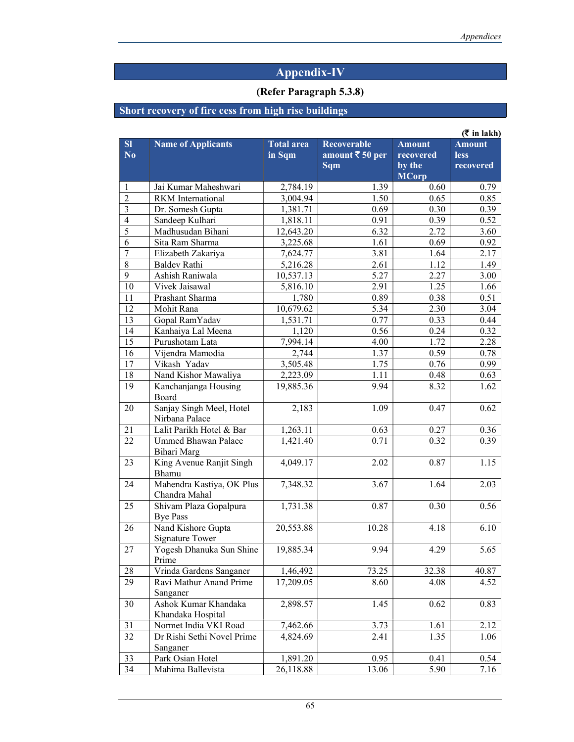# Appendix-IV

# (Refer Paragraph 5.3.8)

# Short recovery of fire cess from high rise buildings

|                              |                                            |                             |                                                                |                                                      | $(\bar{\bar{\mathbf{x}}}$ in lakh)        |
|------------------------------|--------------------------------------------|-----------------------------|----------------------------------------------------------------|------------------------------------------------------|-------------------------------------------|
| SI<br>$\overline{\text{No}}$ | <b>Name of Applicants</b>                  | <b>Total</b> area<br>in Sqm | <b>Recoverable</b><br>amount $\bar{\tau}$ 50 per<br><b>Sqm</b> | <b>Amount</b><br>recovered<br>by the<br><b>MCorp</b> | <b>Amount</b><br><b>less</b><br>recovered |
| 1                            | Jai Kumar Maheshwari                       | 2,784.19                    | 1.39                                                           | 0.60                                                 | 0.79                                      |
| $\overline{2}$               | <b>RKM</b> International                   | 3,004.94                    | 1.50                                                           | 0.65                                                 | 0.85                                      |
| 3                            | Dr. Somesh Gupta                           | 1,381.71                    | 0.69                                                           | 0.30                                                 | 0.39                                      |
| $\overline{4}$               | Sandeep Kulhari                            | 1,818.11                    | 0.91                                                           | 0.39                                                 | 0.52                                      |
| 5                            | Madhusudan Bihani                          | 12,643.20                   | 6.32                                                           | 2.72                                                 | 3.60                                      |
| 6                            | Sita Ram Sharma                            | 3,225.68                    | 1.61                                                           | 0.69                                                 | 0.92                                      |
| $\overline{7}$               | Elizabeth Zakariya                         | 7,624.77                    | 3.81                                                           | 1.64                                                 | 2.17                                      |
| $\overline{8}$               | <b>Baldev Rathi</b>                        | 5,216.28                    | 2.61                                                           | 1.12                                                 | 1.49                                      |
| 9                            | Ashish Raniwala                            | 10,537.13                   | 5.27                                                           | 2.27                                                 | 3.00                                      |
| 10                           | Vivek Jaisawal                             | 5,816.10                    | 2.91                                                           | 1.25                                                 | 1.66                                      |
| 11                           | Prashant Sharma                            | 1,780                       | 0.89                                                           | 0.38                                                 | 0.51                                      |
| 12                           | Mohit Rana                                 | 10,679.62                   | 5.34                                                           | 2.30                                                 | 3.04                                      |
| 13                           | Gopal RamYadav                             | 1,531.71                    | 0.77                                                           | 0.33                                                 | 0.44                                      |
| 14                           | Kanhaiya Lal Meena                         | 1,120                       | 0.56                                                           | 0.24                                                 | 0.32                                      |
| 15                           | Purushotam Lata                            | 7,994.14                    | 4.00                                                           | 1.72                                                 | 2.28                                      |
| 16                           | Vijendra Mamodia                           | 2,744                       | 1.37                                                           | 0.59                                                 | 0.78                                      |
| 17                           | Vikash Yadav                               | 3,505.48                    | 1.75                                                           | 0.76                                                 | 0.99                                      |
| 18                           | Nand Kishor Mawaliya                       | 2,223.09                    | 1.11                                                           | 0.48                                                 | 0.63                                      |
| 19                           | Kanchanjanga Housing<br>Board              | 19,885.36                   | 9.94                                                           | 8.32                                                 | 1.62                                      |
| 20                           | Sanjay Singh Meel, Hotel<br>Nirbana Palace | 2,183                       | 1.09                                                           | 0.47                                                 | 0.62                                      |
| 21                           | Lalit Parikh Hotel & Bar                   | 1,263.11                    | 0.63                                                           | 0.27                                                 | 0.36                                      |
| 22                           | <b>Ummed Bhawan Palace</b><br>Bihari Marg  | 1,421.40                    | 0.71                                                           | 0.32                                                 | 0.39                                      |
| 23                           | King Avenue Ranjit Singh<br>Bhamu          | 4,049.17                    | 2.02                                                           | 0.87                                                 | 1.15                                      |
| 24                           | Mahendra Kastiya, OK Plus<br>Chandra Mahal | 7,348.32                    | 3.67                                                           | 1.64                                                 | 2.03                                      |
| 25                           | Shivam Plaza Gopalpura<br><b>Bye Pass</b>  | 1,731.38                    | 0.87                                                           | 0.30                                                 | 0.56                                      |
| 26                           | Nand Kishore Gupta<br>Signature Tower      | 20,553.88                   | 10.28                                                          | 4.18                                                 | 6.10                                      |
| 27                           | Yogesh Dhanuka Sun Shine<br>Prime          | 19,885.34                   | 9.94                                                           | 4.29                                                 | 5.65                                      |
| 28                           | Vrinda Gardens Sanganer                    | 1,46,492                    | 73.25                                                          | 32.38                                                | 40.87                                     |
| 29                           | Ravi Mathur Anand Prime<br>Sanganer        | 17,209.05                   | 8.60                                                           | 4.08                                                 | 4.52                                      |
| 30                           | Ashok Kumar Khandaka<br>Khandaka Hospital  | 2,898.57                    | 1.45                                                           | 0.62                                                 | 0.83                                      |
| 31                           | Normet India VKI Road                      | 7,462.66                    | 3.73                                                           | 1.61                                                 | 2.12                                      |
| 32                           | Dr Rishi Sethi Novel Prime<br>Sanganer     | 4,824.69                    | 2.41                                                           | 1.35                                                 | 1.06                                      |
| 33                           | Park Osian Hotel                           | 1,891.20                    | 0.95                                                           | 0.41                                                 | 0.54                                      |
| 34                           | Mahima Ballevista                          | 26,118.88                   | 13.06                                                          | 5.90                                                 | 7.16                                      |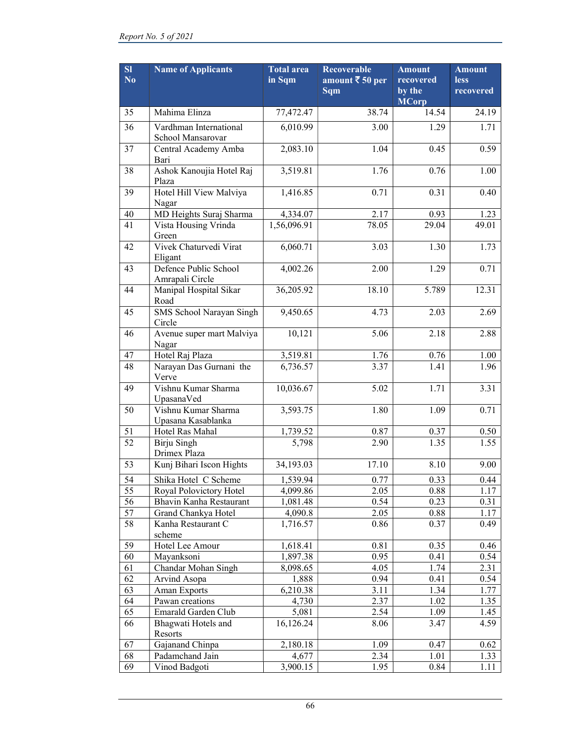| SI<br>No        | <b>Name of Applicants</b>                   | <b>Total</b> area<br>in Sqm | <b>Recoverable</b><br>amount ₹ 50 per<br>Sqm | <b>Amount</b><br>recovered<br>by the<br><b>MCorp</b> | <b>Amount</b><br><b>less</b><br>recovered |
|-----------------|---------------------------------------------|-----------------------------|----------------------------------------------|------------------------------------------------------|-------------------------------------------|
| 35              | Mahima Elinza                               | 77,472.47                   | 38.74                                        | 14.54                                                | 24.19                                     |
| 36              | Vardhman International<br>School Mansarovar | 6,010.99                    | 3.00                                         | 1.29                                                 | 1.71                                      |
| 37              | Central Academy Amba<br>Bari                | 2,083.10                    | 1.04                                         | 0.45                                                 | 0.59                                      |
| 38              | Ashok Kanoujia Hotel Raj<br>Plaza           | 3,519.81                    | 1.76                                         | 0.76                                                 | 1.00                                      |
| 39              | Hotel Hill View Malviya<br>Nagar            | 1,416.85                    | 0.71                                         | 0.31                                                 | 0.40                                      |
| 40              | MD Heights Suraj Sharma                     | 4,334.07                    | 2.17                                         | 0.93                                                 | 1.23                                      |
| 41              | Vista Housing Vrinda<br>Green               | 1,56,096.91                 | 78.05                                        | 29.04                                                | 49.01                                     |
| 42              | Vivek Chaturvedi Virat<br>Eligant           | 6,060.71                    | 3.03                                         | 1.30                                                 | 1.73                                      |
| 43              | Defence Public School<br>Amrapali Circle    | 4,002.26                    | 2.00                                         | 1.29                                                 | 0.71                                      |
| 44              | Manipal Hospital Sikar<br>Road              | 36,205.92                   | 18.10                                        | 5.789                                                | 12.31                                     |
| 45              | SMS School Narayan Singh<br>Circle          | 9,450.65                    | 4.73                                         | 2.03                                                 | 2.69                                      |
| 46              | Avenue super mart Malviya<br>Nagar          | 10,121                      | 5.06                                         | 2.18                                                 | 2.88                                      |
| 47              | Hotel Raj Plaza                             | 3,519.81                    | 1.76                                         | 0.76                                                 | 1.00                                      |
| 48              | Narayan Das Gurnani the<br>Verve            | 6,736.57                    | 3.37                                         | 1.41                                                 | 1.96                                      |
| 49              | Vishnu Kumar Sharma<br>UpasanaVed           | 10,036.67                   | 5.02                                         | 1.71                                                 | 3.31                                      |
| 50              | Vishnu Kumar Sharma<br>Upasana Kasablanka   | 3,593.75                    | 1.80                                         | 1.09                                                 | 0.71                                      |
| 51              | Hotel Ras Mahal                             | 1,739.52                    | 0.87                                         | 0.37                                                 | 0.50                                      |
| $\overline{52}$ | Birju Singh<br>Drimex Plaza                 | 5,798                       | 2.90                                         | 1.35                                                 | 1.55                                      |
| 53              | Kunj Bihari Iscon Hights                    | 34,193.03                   | 17.10                                        | 8.10                                                 | 9.00                                      |
| 54              | Shika Hotel C Scheme                        | 1,539.94                    | 0.77                                         | 0.33                                                 | 0.44                                      |
| 55              | Royal Polovictory Hotel                     | 4,099.86                    | 2.05                                         | 0.88                                                 | 1.17                                      |
| 56              | Bhavin Kanha Restaurant                     | 1,081.48                    | 0.54                                         | 0.23                                                 | 0.31                                      |
| 57              | Grand Chankya Hotel                         | 4,090.8                     | 2.05                                         | 0.88                                                 | 1.17                                      |
| 58              | Kanha Restaurant C<br>scheme                | 1,716.57                    | 0.86                                         | 0.37                                                 | 0.49                                      |
| 59              | Hotel Lee Amour                             | 1,618.41                    | 0.81                                         | 0.35                                                 | 0.46                                      |
| 60              | Mayanksoni                                  | 1,897.38                    | 0.95                                         | 0.41                                                 | 0.54                                      |
| 61              | Chandar Mohan Singh                         | 8,098.65                    | 4.05                                         | 1.74                                                 | 2.31                                      |
| 62              | Arvind Asopa                                | 1,888                       | 0.94                                         | 0.41                                                 | 0.54                                      |
| 63              | Aman Exports                                | 6,210.38                    | 3.11                                         | 1.34                                                 | 1.77                                      |
| 64              | Pawan creations                             | 4,730                       | 2.37                                         | 1.02                                                 | 1.35                                      |
| 65              | Emarald Garden Club                         | 5,081                       | 2.54                                         | 1.09                                                 | 1.45                                      |
| 66              | Bhagwati Hotels and<br>Resorts              | 16,126.24                   | 8.06                                         | 3.47                                                 | 4.59                                      |
| 67              | Gajanand Chinpa                             | 2,180.18                    | 1.09                                         | 0.47                                                 | 0.62                                      |
| 68              | Padamchand Jain                             | 4,677                       | 2.34                                         | 1.01                                                 | 1.33                                      |
| 69              | Vinod Badgoti                               | 3,900.15                    | 1.95                                         | 0.84                                                 | 1.11                                      |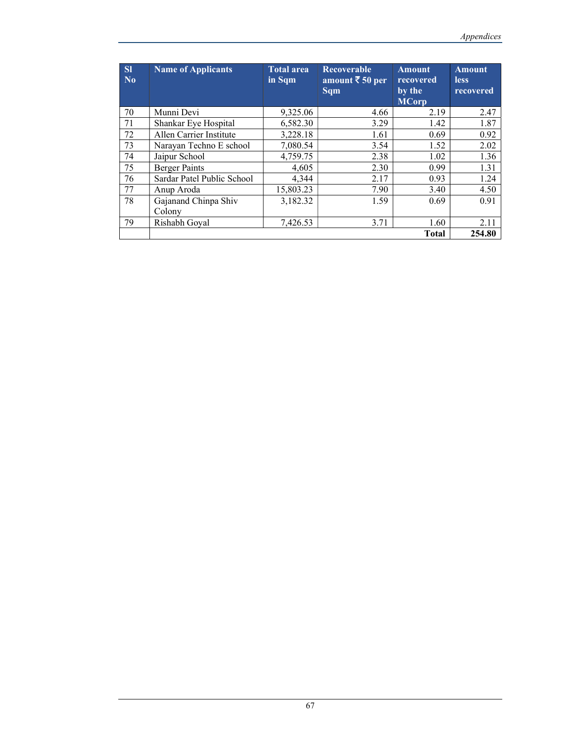| <b>SI</b><br>No | <b>Name of Applicants</b>  | <b>Total area</b><br>in Sqm | <b>Recoverable</b><br>amount $\bar{\bar{\tau}}$ 50 per<br><b>Sqm</b> | <b>Amount</b><br>recovered<br>by the<br><b>MCorp</b> | <b>Amount</b><br><b>less</b><br>recovered |
|-----------------|----------------------------|-----------------------------|----------------------------------------------------------------------|------------------------------------------------------|-------------------------------------------|
| 70              | Munni Devi                 | 9,325.06                    | 4.66                                                                 | 2.19                                                 | 2.47                                      |
| 71              | Shankar Eye Hospital       | 6,582.30                    | 3.29                                                                 | 1.42                                                 | 1.87                                      |
| 72              | Allen Carrier Institute    | 3,228.18                    | 1.61                                                                 | 0.69                                                 | 0.92                                      |
| 73              | Narayan Techno E school    | 7,080.54                    | 3.54                                                                 | 1.52                                                 | 2.02                                      |
| 74              | Jaipur School              | 4,759.75                    | 2.38                                                                 | 1.02                                                 | 1.36                                      |
| 75              | <b>Berger Paints</b>       | 4,605                       | 2.30                                                                 | 0.99                                                 | 1.31                                      |
| 76              | Sardar Patel Public School | 4,344                       | 2.17                                                                 | 0.93                                                 | 1.24                                      |
| 77              | Anup Aroda                 | 15,803.23                   | 7.90                                                                 | 3.40                                                 | 4.50                                      |
| 78              | Gajanand Chinpa Shiv       | 3,182.32                    | 1.59                                                                 | 0.69                                                 | 0.91                                      |
|                 | Colony                     |                             |                                                                      |                                                      |                                           |
| 79              | Rishabh Goyal              | 7,426.53                    | 3.71                                                                 | 1.60                                                 | 2.11                                      |
|                 |                            |                             |                                                                      | <b>Total</b>                                         | 254.80                                    |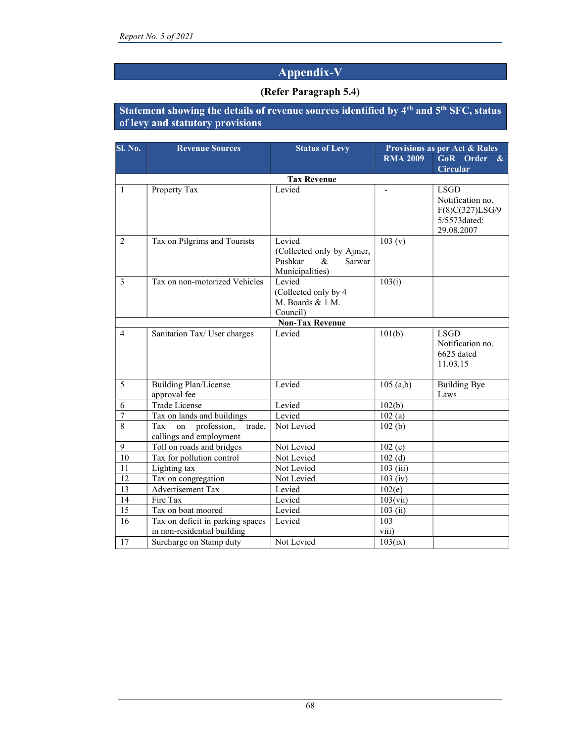# Appendix-V

#### (Refer Paragraph 5.4)

#### Statement showing the details of revenue sources identified by 4th and 5th SFC, status of levy and statutory provisions

| Sl. No.        | <b>Revenue Sources</b>                                                                     | <b>Status of Levy</b>                                                            | <b>Provisions as per Act &amp; Rules</b> |                                                                                  |  |  |
|----------------|--------------------------------------------------------------------------------------------|----------------------------------------------------------------------------------|------------------------------------------|----------------------------------------------------------------------------------|--|--|
|                |                                                                                            |                                                                                  | <b>RMA 2009</b>                          | GoR Order<br>$\mathbf{\&}$                                                       |  |  |
|                |                                                                                            |                                                                                  |                                          | Circular                                                                         |  |  |
|                |                                                                                            | <b>Tax Revenue</b>                                                               |                                          |                                                                                  |  |  |
| $\mathbf{1}$   | Property Tax                                                                               | Levied                                                                           |                                          | <b>LSGD</b><br>Notification no.<br>F(8)C(327)LSG/9<br>5/5573dated:<br>29.08.2007 |  |  |
| 2              | Tax on Pilgrims and Tourists                                                               | Levied<br>(Collected only by Ajmer,<br>Pushkar<br>&<br>Sarwar<br>Municipalities) | 103 (v)                                  |                                                                                  |  |  |
| 3              | Tax on non-motorized Vehicles                                                              | Levied<br>(Collected only by 4<br>M. Boards & 1 M.<br>Council)                   | 103(i)                                   |                                                                                  |  |  |
|                |                                                                                            | <b>Non-Tax Revenue</b>                                                           |                                          |                                                                                  |  |  |
| $\overline{4}$ | Sanitation Tax/ User charges                                                               | Levied                                                                           | 101(b)                                   | <b>LSGD</b><br>Notification no.<br>6625 dated<br>11.03.15                        |  |  |
| 5              | <b>Building Plan/License</b><br>approval fee                                               | Levied                                                                           | 105(a,b)                                 | <b>Building Bye</b><br>Laws                                                      |  |  |
| 6              | <b>Trade License</b>                                                                       | Levied                                                                           | 102(b)                                   |                                                                                  |  |  |
| $\overline{7}$ | Tax on lands and buildings                                                                 | Levied                                                                           | 102(a)                                   |                                                                                  |  |  |
| $\overline{8}$ | profession,<br>Tax<br>on<br>trade,<br>callings and employment                              | Not Levied                                                                       | 102(b)                                   |                                                                                  |  |  |
| 9              | Toll on roads and bridges                                                                  | Not Levied                                                                       | 102(c)                                   |                                                                                  |  |  |
| 10             | Tax for pollution control                                                                  | Not Levied                                                                       | 102(d)                                   |                                                                                  |  |  |
| 11             | Lighting tax                                                                               | Not Levied                                                                       | 103(iii)                                 |                                                                                  |  |  |
| 12             | Tax on congregation                                                                        | Not Levied                                                                       | $103$ (iv)                               |                                                                                  |  |  |
| 13             | <b>Advertisement Tax</b>                                                                   | Levied                                                                           | 102(e)                                   |                                                                                  |  |  |
| 14             | Fire Tax                                                                                   | Levied                                                                           | 103(vii)                                 |                                                                                  |  |  |
| 15             | Tax on boat moored                                                                         | Levied                                                                           | 103(i)                                   |                                                                                  |  |  |
| 16<br>17       | Tax on deficit in parking spaces<br>in non-residential building<br>Surcharge on Stamp duty | Levied<br>Not Levied                                                             | 103<br>viii)<br>103(ix)                  |                                                                                  |  |  |
|                |                                                                                            |                                                                                  |                                          |                                                                                  |  |  |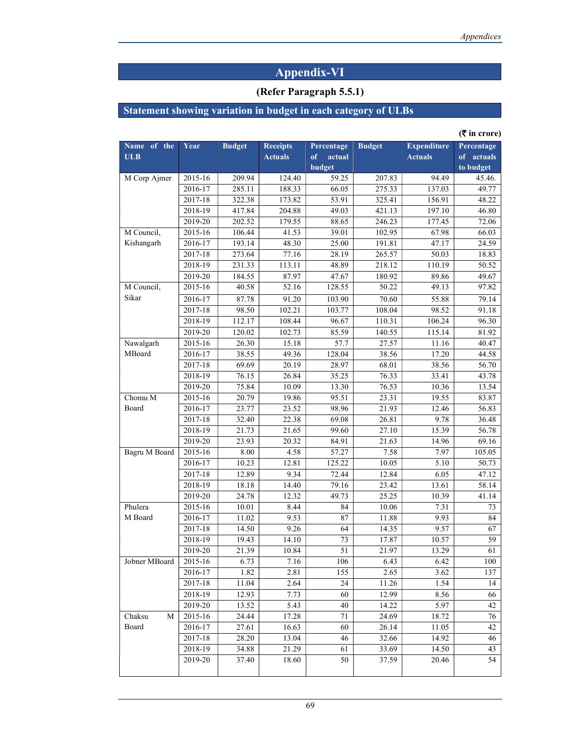# Appendix-VI

#### (Refer Paragraph 5.5.1)

# Statement showing variation in budget in each category of ULBs

|                           |         |               |                                   |                                      |               |                                      | $($ ₹ in crore)                       |
|---------------------------|---------|---------------|-----------------------------------|--------------------------------------|---------------|--------------------------------------|---------------------------------------|
| Name of the<br><b>ULB</b> | Year    | <b>Budget</b> | <b>Receipts</b><br><b>Actuals</b> | Percentage<br>of<br>actual<br>budget | <b>Budget</b> | <b>Expenditure</b><br><b>Actuals</b> | Percentage<br>of actuals<br>to budget |
| M Corp Ajmer              | 2015-16 | 209.94        | 124.40                            | 59.25                                | 207.83        | 94.49                                | 45.46.                                |
|                           | 2016-17 | 285.11        | 188.33                            | 66.05                                | 275.33        | 137.03                               | 49.77                                 |
|                           | 2017-18 | 322.38        | 173.82                            | 53.91                                | 325.41        | 156.91                               | 48.22                                 |
|                           | 2018-19 | 417.84        | 204.88                            | 49.03                                | 421.13        | 197.10                               | 46.80                                 |
|                           | 2019-20 | 202.52        | 179.55                            | 88.65                                | 246.23        | 177.45                               | 72.06                                 |
| M Council,                | 2015-16 | 106.44        | 41.53                             | 39.01                                | 102.95        | 67.98                                | $66.\overline{03}$                    |
| Kishangarh                | 2016-17 | 193.14        | 48.30                             | 25.00                                | 191.81        | 47.17                                | 24.59                                 |
|                           | 2017-18 | 273.64        | 77.16                             | 28.19                                | 265.57        | 50.03                                | 18.83                                 |
|                           | 2018-19 | 231.33        | 113.11                            | 48.89                                | 218.12        | 110.19                               | 50.52                                 |
|                           | 2019-20 | 184.55        | 87.97                             | 47.67                                | 180.92        | 89.86                                | 49.67                                 |
| M Council,                | 2015-16 | 40.58         | 52.16                             | 128.55                               | 50.22         | 49.13                                | 97.82                                 |
| Sikar                     | 2016-17 | 87.78         | 91.20                             | 103.90                               | 70.60         | 55.88                                | 79.14                                 |
|                           | 2017-18 | 98.50         | 102.21                            | 103.77                               | 108.04        | 98.52                                | 91.18                                 |
|                           | 2018-19 | 112.17        | 108.44                            | 96.67                                | 110.31        | 106.24                               | 96.30                                 |
|                           | 2019-20 | 120.02        | 102.73                            | 85.59                                | 140.55        | 115.14                               | 81.92                                 |
| Nawalgarh                 | 2015-16 | 26.30         | 15.18                             | 57.7                                 | 27.57         | 11.16                                | 40.47                                 |
| MBoard                    | 2016-17 | 38.55         | 49.36                             | 128.04                               | 38.56         | 17.20                                | 44.58                                 |
|                           | 2017-18 | 69.69         | 20.19                             | 28.97                                | 68.01         | 38.56                                | 56.70                                 |
|                           | 2018-19 | 76.15         | 26.84                             | 35.25                                | 76.33         | 33.41                                | 43.78                                 |
|                           | 2019-20 | 75.84         | 10.09                             | 13.30                                | 76.53         | 10.36                                | 13.54                                 |
| Chomu M                   | 2015-16 | 20.79         | 19.86                             | 95.51                                | 23.31         | 19.55                                | 83.87                                 |
| Board                     | 2016-17 | 23.77         | 23.52                             | 98.96                                | 21.93         | 12.46                                | 56.83                                 |
|                           | 2017-18 | 32.40         | 22.38                             | 69.08                                | 26.81         | 9.78                                 | 36.48                                 |
|                           | 2018-19 | 21.73         | 21.65                             | 99.60                                | 27.10         | 15.39                                | 56.78                                 |
|                           | 2019-20 | 23.93         | 20.32                             | 84.91                                | 21.63         | 14.96                                | 69.16                                 |
| Bagru M Board             | 2015-16 | 8.00          | 4.58                              | 57.27                                | 7.58          | 7.97                                 | 105.05                                |
|                           | 2016-17 | 10.23         | 12.81                             | 125.22                               | 10.05         | 5.10                                 | 50.73                                 |
|                           | 2017-18 | 12.89         | 9.34                              | 72.44                                | 12.84         | 6.05                                 | 47.12                                 |
|                           | 2018-19 | 18.18         | 14.40                             | 79.16                                | 23.42         | 13.61                                | 58.14                                 |
|                           | 2019-20 | 24.78         | 12.32                             | 49.73                                | 25.25         | 10.39                                | 41.14                                 |
| Phulera                   | 2015-16 | 10.01         | 8.44                              | 84                                   | 10.06         | 7.31                                 | 73                                    |
| M Board                   | 2016-17 | 11.02         | 9.53                              | 87                                   | 11.88         | 9.93                                 | 84                                    |
|                           | 2017-18 | 14.50         | 9.26                              | 64                                   | 14.35         | 9.57                                 | 67                                    |
|                           | 2018-19 | 19.43         | 14.10                             | 73                                   | 17.87         | 10.57                                | 59                                    |
|                           | 2019-20 | 21.39         | 10.84                             | 51                                   | 21.97         | 13.29                                | 61                                    |
| Jobner MBoard             | 2015-16 | 6.73          | 7.16                              | 106                                  | 6.43          | 6.42                                 | 100                                   |
|                           | 2016-17 | 1.82          | 2.81                              | 155                                  | 2.65          | 3.62                                 | 137                                   |
|                           | 2017-18 | 11.04         | 2.64                              | 24                                   | 11.26         | 1.54                                 | 14                                    |
|                           | 2018-19 | 12.93         | 7.73                              | 60                                   | 12.99         | 8.56                                 | 66                                    |
|                           | 2019-20 | 13.52         | 5.43                              | 40                                   | 14.22         | 5.97                                 | 42                                    |
| Chaksu<br>М               | 2015-16 | 24.44         | 17.28                             | 71                                   | 24.69         | 18.72                                | 76                                    |
| Board                     | 2016-17 | 27.61         | 16.63                             | 60                                   | 26.14         | 11.05                                | 42                                    |
|                           | 2017-18 | 28.20         | 13.04                             | 46                                   | 32.66         | 14.92                                | 46                                    |
|                           | 2018-19 | 34.88         | 21.29                             | 61                                   | 33.69         | 14.50                                | 43                                    |
|                           | 2019-20 | 37.40         | 18.60                             | 50                                   | 37.59         | 20.46                                | 54                                    |
|                           |         |               |                                   |                                      |               |                                      |                                       |